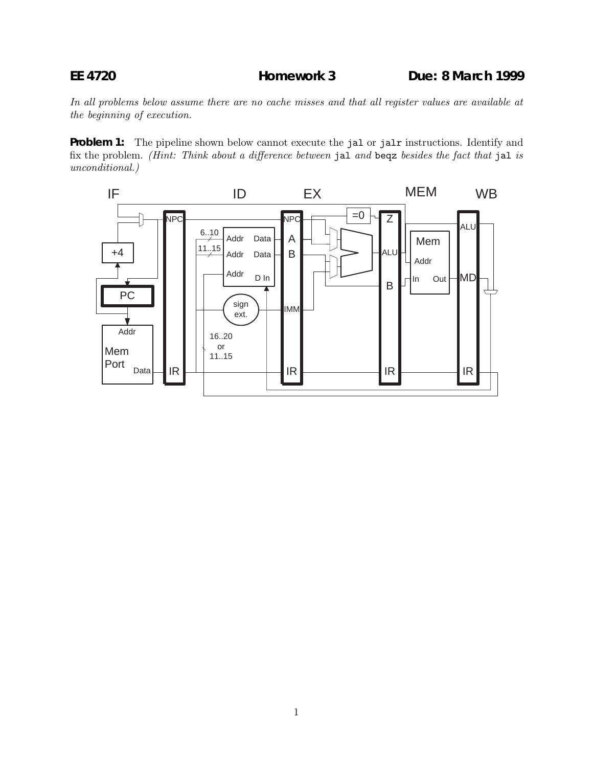In all problems below assume there are no cache misses and that all register values are available at the beginning of execution.

**Problem 1:** The pipeline shown below cannot execute the jal or jalr instructions. Identify and fix the problem. (Hint: Think about a difference between jal and beqz besides the fact that jal is unconditional.)

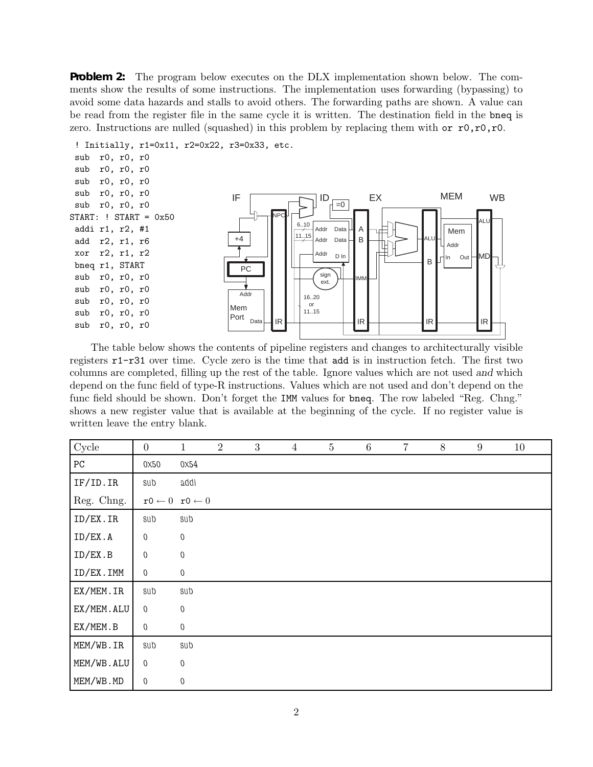**Problem 2:** The program below executes on the DLX implementation shown below. The comments show the results of some instructions. The implementation uses forwarding (bypassing) to avoid some data hazards and stalls to avoid others. The forwarding paths are shown. A value can be read from the register file in the same cycle it is written. The destination field in the bneq is zero. Instructions are nulled (squashed) in this problem by replacing them with or  $r0, r0, r0$ .



The table below shows the contents of pipeline registers and changes to architecturally visible registers r1-r31 over time. Cycle zero is the time that add is in instruction fetch. The first two columns are completed, filling up the rest of the table. Ignore values which are not used *and* which depend on the func field of type-R instructions. Values which are not used and don't depend on the func field should be shown. Don't forget the IMM values for bneq. The row labeled "Reg. Chng." shows a new register value that is available at the beginning of the cycle. If no register value is written leave the entry blank.

| Cycle      | $\boldsymbol{0}$ | $\mathbf{1}$                        | $\overline{2}$ | 3 | $\overline{4}$ | $\overline{5}$ | $\,6\,$ | 7 | $8\,$ | $\boldsymbol{9}$ | 10 |
|------------|------------------|-------------------------------------|----------------|---|----------------|----------------|---------|---|-------|------------------|----|
| ${\rm PC}$ | 0x50             | 0x54                                |                |   |                |                |         |   |       |                  |    |
| IF/ID. IR  | sub              | addi                                |                |   |                |                |         |   |       |                  |    |
| Reg. Chng. |                  | $r0 \leftarrow 0$ $r0 \leftarrow 0$ |                |   |                |                |         |   |       |                  |    |
| ID/EX.IR   | sub              | sub                                 |                |   |                |                |         |   |       |                  |    |
| ID/EX.A    | $\boldsymbol{0}$ | $\boldsymbol{0}$                    |                |   |                |                |         |   |       |                  |    |
| ID/EX.B    | $\boldsymbol{0}$ | $\boldsymbol{0}$                    |                |   |                |                |         |   |       |                  |    |
| ID/EX.IMM  | $\boldsymbol{0}$ | $\boldsymbol{0}$                    |                |   |                |                |         |   |       |                  |    |
| EX/MEM.IR  | sub              | sub                                 |                |   |                |                |         |   |       |                  |    |
| EX/MEM.ALU | $\boldsymbol{0}$ | $\boldsymbol{0}$                    |                |   |                |                |         |   |       |                  |    |
| EX/MEM.B   | $\theta$         | $\boldsymbol{0}$                    |                |   |                |                |         |   |       |                  |    |
| MEM/WB.IR  | sub              | sub                                 |                |   |                |                |         |   |       |                  |    |
| MEM/WB.ALU | $\boldsymbol{0}$ | $\boldsymbol{0}$                    |                |   |                |                |         |   |       |                  |    |
| MEM/WB.MD  | $\boldsymbol{0}$ | $\boldsymbol{0}$                    |                |   |                |                |         |   |       |                  |    |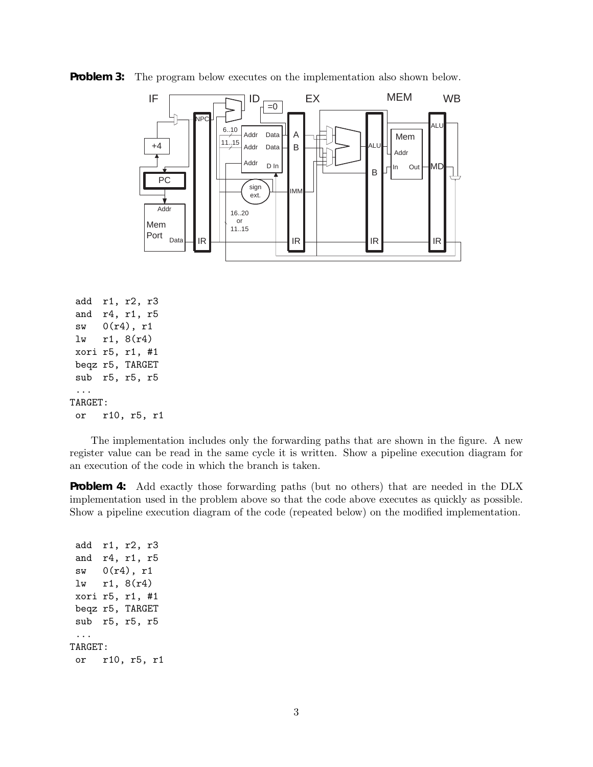

**Problem 3:** The program below executes on the implementation also shown below.

```
add r1, r2, r3
 and r4, r1, r5
 sw 0(r4), r1
 lw r1, 8(r4)
xori r5, r1, #1
 beqz r5, TARGET
 sub r5, r5, r5
 ...
TARGET:
 or r10, r5, r1
```
The implementation includes only the forwarding paths that are shown in the figure. A new register value can be read in the same cycle it is written. Show a pipeline execution diagram for an execution of the code in which the branch is taken.

**Problem 4:** Add exactly those forwarding paths (but no others) that are needed in the DLX implementation used in the problem above so that the code above executes as quickly as possible. Show a pipeline execution diagram of the code (repeated below) on the modified implementation.

add r1, r2, r3 and r4, r1, r5 sw 0(r4), r1 lw r1, 8(r4) xori r5, r1, #1 beqz r5, TARGET sub r5, r5, r5 ... TARGET: or r10, r5, r1